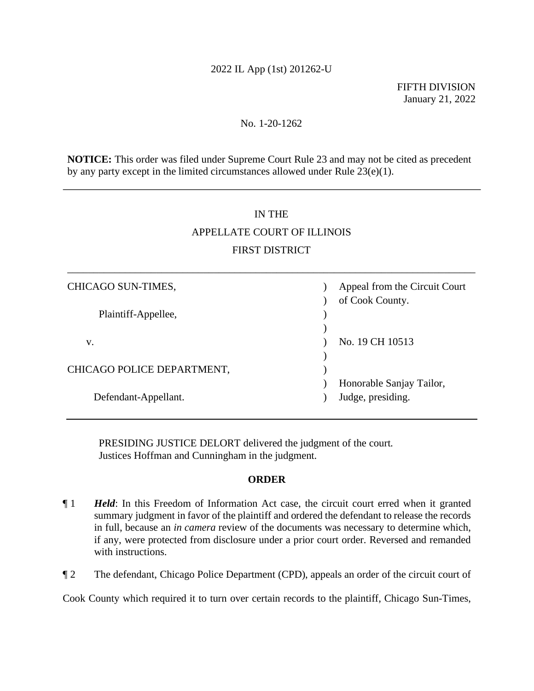## 2022 IL App (1st) 201262-U

FIFTH DIVISION January 21, 2022

## No. 1-20-1262

**NOTICE:** This order was filed under Supreme Court Rule 23 and may not be cited as precedent by any party except in the limited circumstances allowed under Rule 23(e)(1).

## IN THE

# APPELLATE COURT OF ILLINOIS FIRST DISTRICT

\_\_\_\_\_\_\_\_\_\_\_\_\_\_\_\_\_\_\_\_\_\_\_\_\_\_\_\_\_\_\_\_\_\_\_\_\_\_\_\_\_\_\_\_\_\_\_\_\_\_\_\_\_\_\_\_\_\_\_\_\_\_\_\_\_\_\_\_\_\_\_\_\_\_\_\_\_\_

| CHICAGO SUN-TIMES,         | Appeal from the Circuit Court |
|----------------------------|-------------------------------|
| Plaintiff-Appellee,        | of Cook County.               |
|                            |                               |
| v.                         | No. 19 CH 10513               |
| CHICAGO POLICE DEPARTMENT, |                               |
|                            | Honorable Sanjay Tailor,      |
| Defendant-Appellant.       | Judge, presiding.             |

PRESIDING JUSTICE DELORT delivered the judgment of the court. Justices Hoffman and Cunningham in the judgment.

## **ORDER**

- ¶ 1 *Held*: In this Freedom of Information Act case, the circuit court erred when it granted summary judgment in favor of the plaintiff and ordered the defendant to release the records in full, because an *in camera* review of the documents was necessary to determine which, if any, were protected from disclosure under a prior court order. Reversed and remanded with instructions.
- ¶ 2 The defendant, Chicago Police Department (CPD), appeals an order of the circuit court of

Cook County which required it to turn over certain records to the plaintiff, Chicago Sun-Times,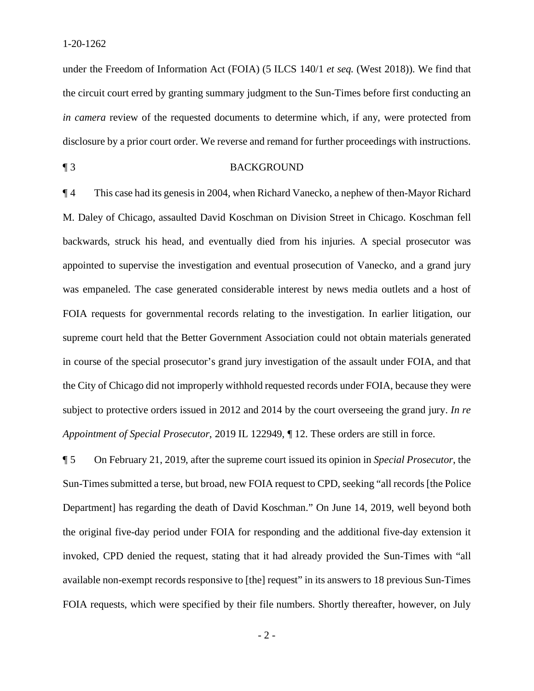1-20-1262

under the Freedom of Information Act (FOIA) (5 ILCS 140/1 *et seq.* (West 2018)). We find that the circuit court erred by granting summary judgment to the Sun-Times before first conducting an *in camera* review of the requested documents to determine which, if any, were protected from disclosure by a prior court order. We reverse and remand for further proceedings with instructions.

### ¶ 3 BACKGROUND

¶ 4 This case had its genesis in 2004, when Richard Vanecko, a nephew of then-Mayor Richard M. Daley of Chicago, assaulted David Koschman on Division Street in Chicago. Koschman fell backwards, struck his head, and eventually died from his injuries. A special prosecutor was appointed to supervise the investigation and eventual prosecution of Vanecko, and a grand jury was empaneled. The case generated considerable interest by news media outlets and a host of FOIA requests for governmental records relating to the investigation. In earlier litigation, our supreme court held that the Better Government Association could not obtain materials generated in course of the special prosecutor's grand jury investigation of the assault under FOIA, and that the City of Chicago did not improperly withhold requested records under FOIA, because they were subject to protective orders issued in 2012 and 2014 by the court overseeing the grand jury. *In re Appointment of Special Prosecutor*, 2019 IL 122949, ¶ 12. These orders are still in force.

¶ 5 On February 21, 2019, after the supreme court issued its opinion in *Special Prosecutor*, the Sun-Times submitted a terse, but broad, new FOIA request to CPD, seeking "all records [the Police Department] has regarding the death of David Koschman." On June 14, 2019, well beyond both the original five-day period under FOIA for responding and the additional five-day extension it invoked, CPD denied the request, stating that it had already provided the Sun-Times with "all available non-exempt records responsive to [the] request" in its answers to 18 previous Sun-Times FOIA requests, which were specified by their file numbers. Shortly thereafter, however, on July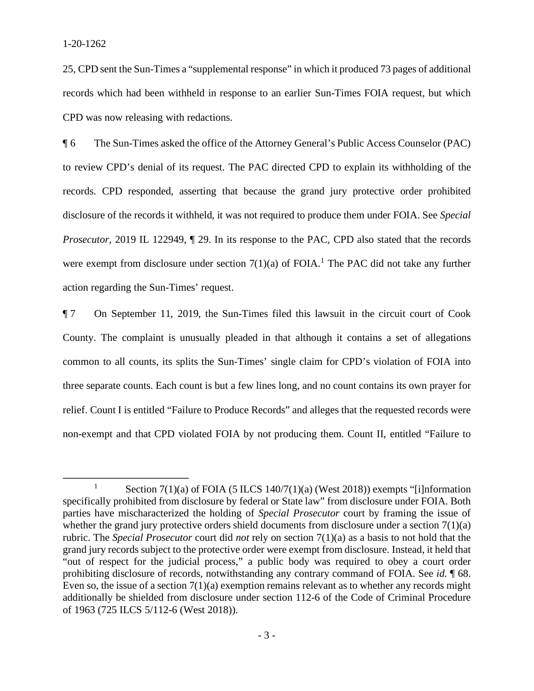25, CPD sent the Sun-Times a "supplemental response" in which it produced 73 pages of additional records which had been withheld in response to an earlier Sun-Times FOIA request, but which CPD was now releasing with redactions.

¶ 6 The Sun-Times asked the office of the Attorney General's Public Access Counselor (PAC) to review CPD's denial of its request. The PAC directed CPD to explain its withholding of the records. CPD responded, asserting that because the grand jury protective order prohibited disclosure of the records it withheld, it was not required to produce them under FOIA. See *Special Prosecutor*, 2019 IL 122949,  $\parallel$  29. In its response to the PAC, CPD also stated that the records were exempt from disclosure under section  $7(1)(a)$  of FOIA.<sup>1</sup> The PAC did not take any further action regarding the Sun-Times' request.

¶ 7 On September 11, 2019, the Sun-Times filed this lawsuit in the circuit court of Cook County. The complaint is unusually pleaded in that although it contains a set of allegations common to all counts, its splits the Sun-Times' single claim for CPD's violation of FOIA into three separate counts. Each count is but a few lines long, and no count contains its own prayer for relief. Count I is entitled "Failure to Produce Records" and alleges that the requested records were non-exempt and that CPD violated FOIA by not producing them. Count II, entitled "Failure to

<sup>1</sup> Section 7(1)(a) of FOIA (5 ILCS 140/7(1)(a) (West 2018)) exempts "[i]nformation specifically prohibited from disclosure by federal or State law" from disclosure under FOIA. Both parties have mischaracterized the holding of *Special Prosecutor* court by framing the issue of whether the grand jury protective orders shield documents from disclosure under a section 7(1)(a) rubric. The *Special Prosecutor* court did *not* rely on section 7(1)(a) as a basis to not hold that the grand jury records subject to the protective order were exempt from disclosure. Instead, it held that "out of respect for the judicial process," a public body was required to obey a court order prohibiting disclosure of records, notwithstanding any contrary command of FOIA. See *id*. ¶ 68. Even so, the issue of a section  $7(1)(a)$  exemption remains relevant as to whether any records might additionally be shielded from disclosure under section 112-6 of the Code of Criminal Procedure of 1963 (725 ILCS 5/112-6 (West 2018)).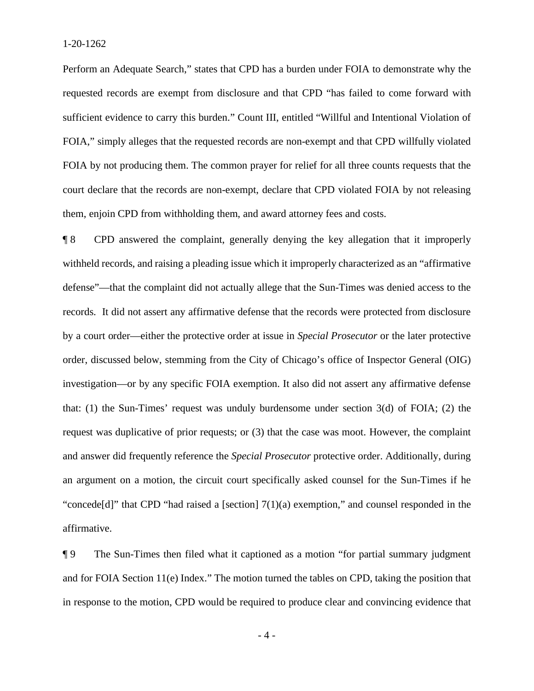Perform an Adequate Search," states that CPD has a burden under FOIA to demonstrate why the requested records are exempt from disclosure and that CPD "has failed to come forward with sufficient evidence to carry this burden." Count III, entitled "Willful and Intentional Violation of FOIA," simply alleges that the requested records are non-exempt and that CPD willfully violated FOIA by not producing them. The common prayer for relief for all three counts requests that the court declare that the records are non-exempt, declare that CPD violated FOIA by not releasing them, enjoin CPD from withholding them, and award attorney fees and costs.

¶ 8 CPD answered the complaint, generally denying the key allegation that it improperly withheld records, and raising a pleading issue which it improperly characterized as an "affirmative defense"—that the complaint did not actually allege that the Sun-Times was denied access to the records. It did not assert any affirmative defense that the records were protected from disclosure by a court order—either the protective order at issue in *Special Prosecutor* or the later protective order, discussed below, stemming from the City of Chicago's office of Inspector General (OIG) investigation—or by any specific FOIA exemption. It also did not assert any affirmative defense that: (1) the Sun-Times' request was unduly burdensome under section 3(d) of FOIA; (2) the request was duplicative of prior requests; or (3) that the case was moot. However, the complaint and answer did frequently reference the *Special Prosecutor* protective order. Additionally, during an argument on a motion, the circuit court specifically asked counsel for the Sun-Times if he "concede<sup>[d]"</sup> that CPD "had raised a [section]  $7(1)(a)$  exemption," and counsel responded in the affirmative.

¶ 9 The Sun-Times then filed what it captioned as a motion "for partial summary judgment and for FOIA Section 11(e) Index." The motion turned the tables on CPD, taking the position that in response to the motion, CPD would be required to produce clear and convincing evidence that

 $-4-$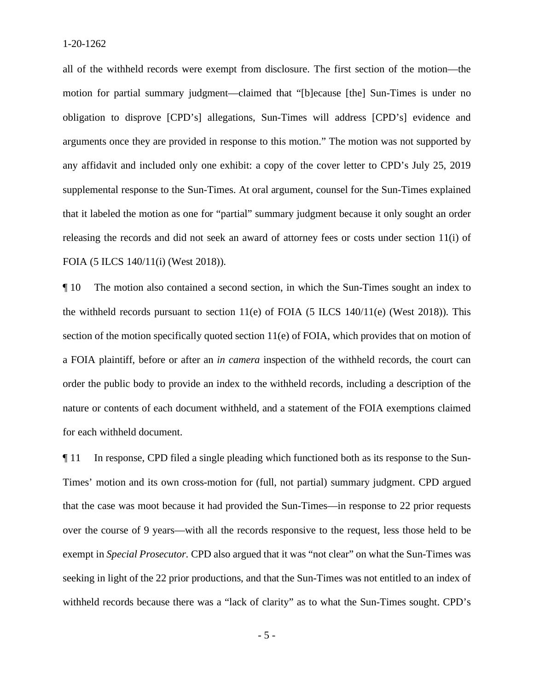all of the withheld records were exempt from disclosure. The first section of the motion—the motion for partial summary judgment—claimed that "[b]ecause [the] Sun-Times is under no obligation to disprove [CPD's] allegations, Sun-Times will address [CPD's] evidence and arguments once they are provided in response to this motion." The motion was not supported by any affidavit and included only one exhibit: a copy of the cover letter to CPD's July 25, 2019 supplemental response to the Sun-Times. At oral argument, counsel for the Sun-Times explained that it labeled the motion as one for "partial" summary judgment because it only sought an order releasing the records and did not seek an award of attorney fees or costs under section 11(i) of FOIA (5 ILCS 140/11(i) (West 2018)).

¶ 10 The motion also contained a second section, in which the Sun-Times sought an index to the withheld records pursuant to section 11(e) of FOIA (5 ILCS 140/11(e) (West 2018)). This section of the motion specifically quoted section 11(e) of FOIA, which provides that on motion of a FOIA plaintiff, before or after an *in camera* inspection of the withheld records, the court can order the public body to provide an index to the withheld records, including a description of the nature or contents of each document withheld, and a statement of the FOIA exemptions claimed for each withheld document.

¶ 11 In response, CPD filed a single pleading which functioned both as its response to the Sun-Times' motion and its own cross-motion for (full, not partial) summary judgment. CPD argued that the case was moot because it had provided the Sun-Times—in response to 22 prior requests over the course of 9 years—with all the records responsive to the request, less those held to be exempt in *Special Prosecutor*. CPD also argued that it was "not clear" on what the Sun-Times was seeking in light of the 22 prior productions, and that the Sun-Times was not entitled to an index of withheld records because there was a "lack of clarity" as to what the Sun-Times sought. CPD's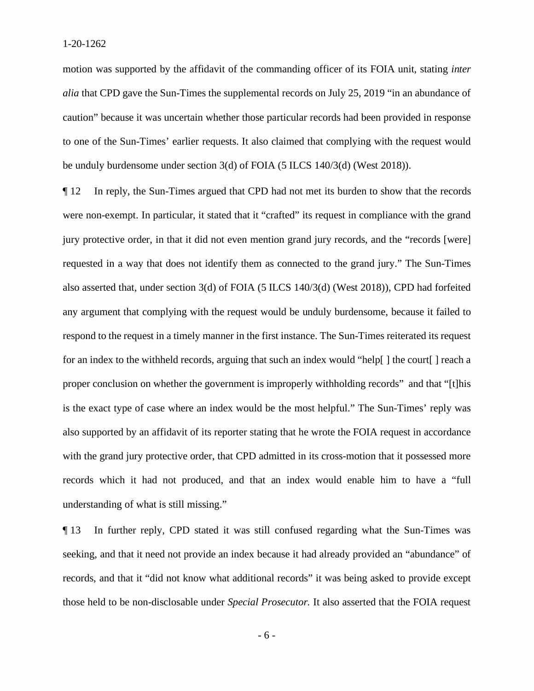motion was supported by the affidavit of the commanding officer of its FOIA unit, stating *inter alia* that CPD gave the Sun-Times the supplemental records on July 25, 2019 "in an abundance of caution" because it was uncertain whether those particular records had been provided in response to one of the Sun-Times' earlier requests. It also claimed that complying with the request would be unduly burdensome under section 3(d) of FOIA (5 ILCS 140/3(d) (West 2018)).

¶ 12 In reply, the Sun-Times argued that CPD had not met its burden to show that the records were non-exempt. In particular, it stated that it "crafted" its request in compliance with the grand jury protective order, in that it did not even mention grand jury records, and the "records [were] requested in a way that does not identify them as connected to the grand jury." The Sun-Times also asserted that, under section 3(d) of FOIA (5 ILCS 140/3(d) (West 2018)), CPD had forfeited any argument that complying with the request would be unduly burdensome, because it failed to respond to the request in a timely manner in the first instance. The Sun-Times reiterated its request for an index to the withheld records, arguing that such an index would "help[] the court[] reach a proper conclusion on whether the government is improperly withholding records" and that "[t]his is the exact type of case where an index would be the most helpful." The Sun-Times' reply was also supported by an affidavit of its reporter stating that he wrote the FOIA request in accordance with the grand jury protective order, that CPD admitted in its cross-motion that it possessed more records which it had not produced, and that an index would enable him to have a "full understanding of what is still missing."

¶ 13 In further reply, CPD stated it was still confused regarding what the Sun-Times was seeking, and that it need not provide an index because it had already provided an "abundance" of records, and that it "did not know what additional records" it was being asked to provide except those held to be non-disclosable under *Special Prosecutor.* It also asserted that the FOIA request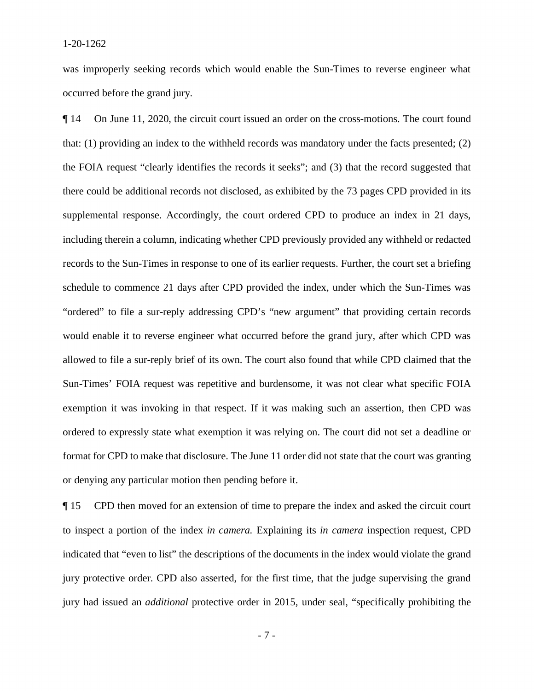was improperly seeking records which would enable the Sun-Times to reverse engineer what occurred before the grand jury.

¶ 14 On June 11, 2020, the circuit court issued an order on the cross-motions. The court found that: (1) providing an index to the withheld records was mandatory under the facts presented; (2) the FOIA request "clearly identifies the records it seeks"; and (3) that the record suggested that there could be additional records not disclosed, as exhibited by the 73 pages CPD provided in its supplemental response. Accordingly, the court ordered CPD to produce an index in 21 days, including therein a column, indicating whether CPD previously provided any withheld or redacted records to the Sun-Times in response to one of its earlier requests. Further, the court set a briefing schedule to commence 21 days after CPD provided the index, under which the Sun-Times was "ordered" to file a sur-reply addressing CPD's "new argument" that providing certain records would enable it to reverse engineer what occurred before the grand jury, after which CPD was allowed to file a sur-reply brief of its own. The court also found that while CPD claimed that the Sun-Times' FOIA request was repetitive and burdensome, it was not clear what specific FOIA exemption it was invoking in that respect. If it was making such an assertion, then CPD was ordered to expressly state what exemption it was relying on. The court did not set a deadline or format for CPD to make that disclosure. The June 11 order did not state that the court was granting or denying any particular motion then pending before it.

¶ 15 CPD then moved for an extension of time to prepare the index and asked the circuit court to inspect a portion of the index *in camera.* Explaining its *in camera* inspection request, CPD indicated that "even to list" the descriptions of the documents in the index would violate the grand jury protective order. CPD also asserted, for the first time, that the judge supervising the grand jury had issued an *additional* protective order in 2015, under seal, "specifically prohibiting the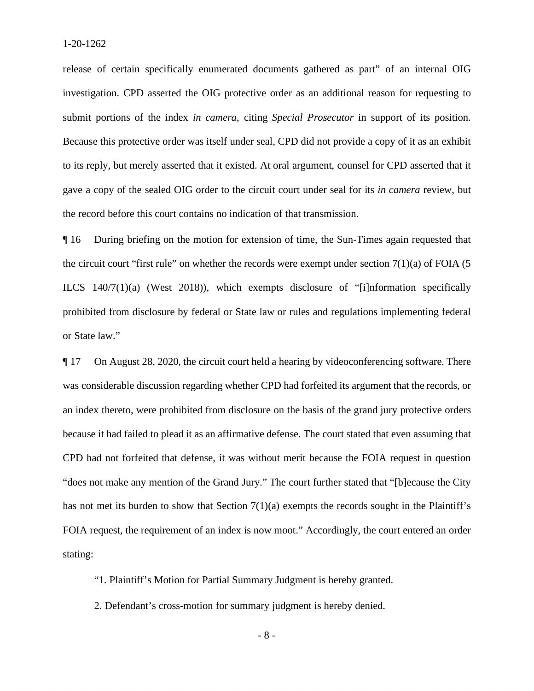release of certain specifically enumerated documents gathered as part" of an internal OIG investigation. CPD asserted the OIG protective order as an additional reason for requesting to submit portions of the index *in camera*, citing *Special Prosecutor* in support of its position. Because this protective order was itself under seal, CPD did not provide a copy of it as an exhibit to its reply, but merely asserted that it existed. At oral argument, counsel for CPD asserted that it gave a copy of the sealed OIG order to the circuit court under seal for its *in camera* review, but the record before this court contains no indication of that transmission.

¶ 16 During briefing on the motion for extension of time, the Sun-Times again requested that the circuit court "first rule" on whether the records were exempt under section  $7(1)(a)$  of FOIA (5) ILCS 140/7(1)(a) (West 2018)), which exempts disclosure of "[i]nformation specifically prohibited from disclosure by federal or State law or rules and regulations implementing federal or State law."

¶ 17 On August 28, 2020, the circuit court held a hearing by videoconferencing software. There was considerable discussion regarding whether CPD had forfeited its argument that the records, or an index thereto, were prohibited from disclosure on the basis of the grand jury protective orders because it had failed to plead it as an affirmative defense. The court stated that even assuming that CPD had not forfeited that defense, it was without merit because the FOIA request in question "does not make any mention of the Grand Jury." The court further stated that "[b]ecause the City has not met its burden to show that Section 7(1)(a) exempts the records sought in the Plaintiff's FOIA request, the requirement of an index is now moot." Accordingly, the court entered an order stating:

"1. Plaintiff's Motion for Partial Summary Judgment is hereby granted.

2. Defendant's cross-motion for summary judgment is hereby denied.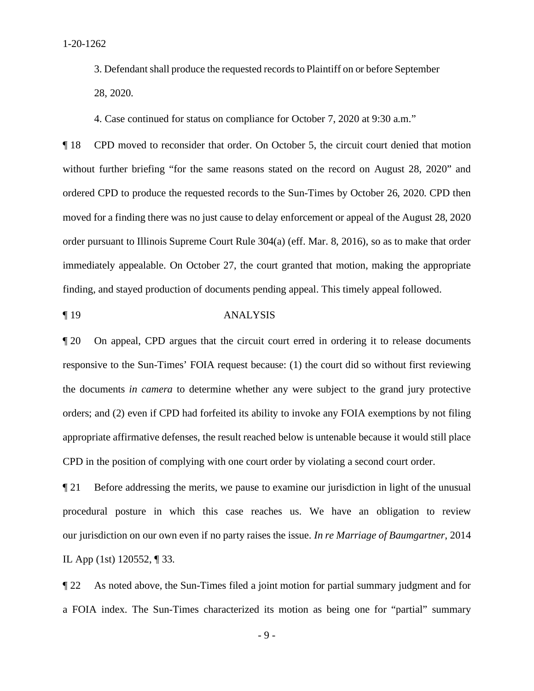3. Defendant shall produce the requested records to Plaintiff on or before September 28, 2020.

4. Case continued for status on compliance for October 7, 2020 at 9:30 a.m."

¶ 18 CPD moved to reconsider that order. On October 5, the circuit court denied that motion without further briefing "for the same reasons stated on the record on August 28, 2020" and ordered CPD to produce the requested records to the Sun-Times by October 26, 2020. CPD then moved for a finding there was no just cause to delay enforcement or appeal of the August 28, 2020 order pursuant to Illinois Supreme Court Rule 304(a) (eff. Mar. 8, 2016), so as to make that order immediately appealable. On October 27, the court granted that motion, making the appropriate finding, and stayed production of documents pending appeal. This timely appeal followed.

¶ 19 ANALYSIS

¶ 20 On appeal, CPD argues that the circuit court erred in ordering it to release documents responsive to the Sun-Times' FOIA request because: (1) the court did so without first reviewing the documents *in camera* to determine whether any were subject to the grand jury protective orders; and (2) even if CPD had forfeited its ability to invoke any FOIA exemptions by not filing appropriate affirmative defenses, the result reached below is untenable because it would still place CPD in the position of complying with one court order by violating a second court order.

¶ 21 Before addressing the merits, we pause to examine our jurisdiction in light of the unusual procedural posture in which this case reaches us. We have an obligation to review our jurisdiction on our own even if no party raises the issue. *In re Marriage of Baumgartner*, 2014 IL App (1st) 120552, ¶ 33.

¶ 22 As noted above, the Sun-Times filed a joint motion for partial summary judgment and for a FOIA index. The Sun-Times characterized its motion as being one for "partial" summary

- 9 -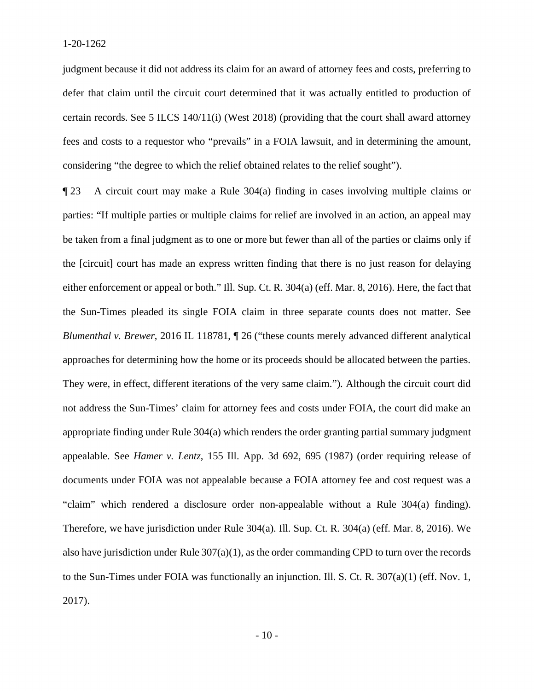judgment because it did not address its claim for an award of attorney fees and costs, preferring to defer that claim until the circuit court determined that it was actually entitled to production of certain records. See 5 ILCS  $140/11(i)$  (West 2018) (providing that the court shall award attorney fees and costs to a requestor who "prevails" in a FOIA lawsuit, and in determining the amount, considering "the degree to which the relief obtained relates to the relief sought").

¶ 23 A circuit court may make a Rule 304(a) finding in cases involving multiple claims or parties: "If multiple parties or multiple claims for relief are involved in an action, an appeal may be taken from a final judgment as to one or more but fewer than all of the parties or claims only if the [circuit] court has made an express written finding that there is no just reason for delaying either enforcement or appeal or both." Ill. Sup. Ct. R. 304(a) (eff. Mar. 8, 2016). Here, the fact that the Sun-Times pleaded its single FOIA claim in three separate counts does not matter. See *Blumenthal v. Brewer*, 2016 IL 118781, ¶ 26 ("these counts merely advanced different analytical approaches for determining how the home or its proceeds should be allocated between the parties. They were, in effect, different iterations of the very same claim."). Although the circuit court did not address the Sun-Times' claim for attorney fees and costs under FOIA, the court did make an appropriate finding under Rule 304(a) which renders the order granting partial summary judgment appealable. See *Hamer v. Lentz*, 155 Ill. App. 3d 692, 695 (1987) (order requiring release of documents under FOIA was not appealable because a FOIA attorney fee and cost request was a "claim" which rendered a disclosure order non-appealable without a Rule 304(a) finding). Therefore, we have jurisdiction under Rule 304(a). Ill. Sup. Ct. R. 304(a) (eff. Mar. 8, 2016). We also have jurisdiction under Rule 307(a)(1), as the order commanding CPD to turn over the records to the Sun-Times under FOIA was functionally an injunction. Ill. S. Ct. R. 307(a)(1) (eff. Nov. 1, 2017).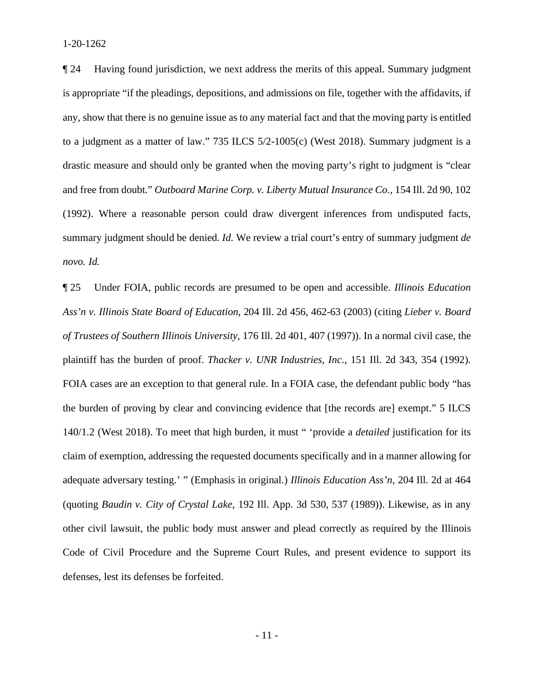¶ 24 Having found jurisdiction, we next address the merits of this appeal. Summary judgment is appropriate "if the pleadings, depositions, and admissions on file, together with the affidavits, if any, show that there is no genuine issue as to any material fact and that the moving party is entitled to a judgment as a matter of law." 735 ILCS 5/2-1005(c) (West 2018). Summary judgment is a drastic measure and should only be granted when the moving party's right to judgment is "clear and free from doubt." *Outboard Marine Corp. v. Liberty Mutual Insurance Co.,* 154 Ill. 2d 90, 102 (1992). Where a reasonable person could draw divergent inferences from undisputed facts, summary judgment should be denied. *Id.* We review a trial court's entry of summary judgment *de novo. Id.*

¶ 25 Under FOIA, public records are presumed to be open and accessible. *Illinois Education Ass'n v. Illinois State Board of Education*, 204 Ill. 2d 456, 462-63 (2003) (citing *Lieber v. Board of Trustees of Southern Illinois University*, 176 Ill. 2d 401, 407 (1997)). In a normal civil case, the plaintiff has the burden of proof. *Thacker v. UNR Industries, Inc*., 151 Ill. 2d 343, 354 (1992). FOIA cases are an exception to that general rule. In a FOIA case, the defendant public body "has the burden of proving by clear and convincing evidence that [the records are] exempt." 5 ILCS 140/1.2 (West 2018). To meet that high burden, it must " 'provide a *detailed* justification for its claim of exemption, addressing the requested documents specifically and in a manner allowing for adequate adversary testing.' " (Emphasis in original.) *Illinois Education Ass'n*, 204 Ill. 2d at 464 (quoting *Baudin v. City of Crystal Lake*, 192 Ill. App. 3d 530, 537 (1989)). Likewise, as in any other civil lawsuit, the public body must answer and plead correctly as required by the Illinois Code of Civil Procedure and the Supreme Court Rules, and present evidence to support its defenses, lest its defenses be forfeited.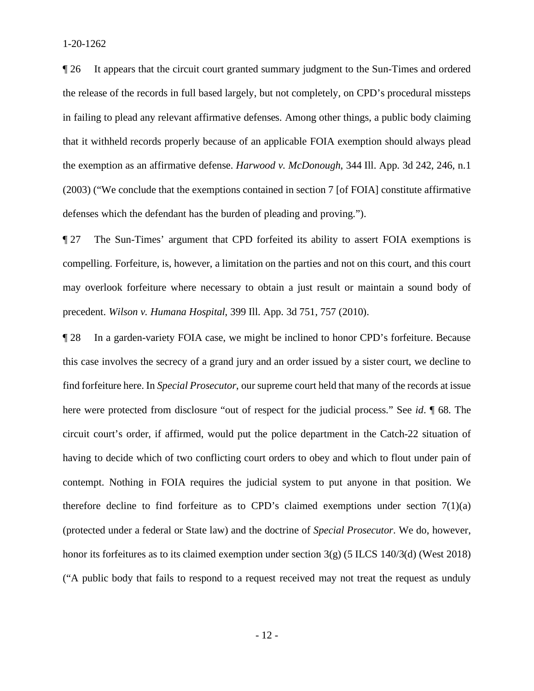¶ 26 It appears that the circuit court granted summary judgment to the Sun-Times and ordered the release of the records in full based largely, but not completely, on CPD's procedural missteps in failing to plead any relevant affirmative defenses. Among other things, a public body claiming that it withheld records properly because of an applicable FOIA exemption should always plead the exemption as an affirmative defense. *Harwood v. McDonough*, 344 Ill. App. 3d 242, 246, n.1 (2003) ("We conclude that the exemptions contained in section 7 [of FOIA] constitute affirmative defenses which the defendant has the burden of pleading and proving.").

¶ 27 The Sun-Times' argument that CPD forfeited its ability to assert FOIA exemptions is compelling. Forfeiture, is, however, a limitation on the parties and not on this court, and this court may overlook forfeiture where necessary to obtain a just result or maintain a sound body of precedent. *Wilson v. Humana Hospital*, 399 Ill. App. 3d 751, 757 (2010).

¶ 28 In a garden-variety FOIA case, we might be inclined to honor CPD's forfeiture. Because this case involves the secrecy of a grand jury and an order issued by a sister court, we decline to find forfeiture here. In *Special Prosecutor*, our supreme court held that many of the records at issue here were protected from disclosure "out of respect for the judicial process." See *id*. ¶ 68. The circuit court's order, if affirmed, would put the police department in the Catch-22 situation of having to decide which of two conflicting court orders to obey and which to flout under pain of contempt. Nothing in FOIA requires the judicial system to put anyone in that position. We therefore decline to find forfeiture as to CPD's claimed exemptions under section  $7(1)(a)$ (protected under a federal or State law) and the doctrine of *Special Prosecutor*. We do, however, honor its forfeitures as to its claimed exemption under section 3(g) (5 ILCS 140/3(d) (West 2018) ("A public body that fails to respond to a request received may not treat the request as unduly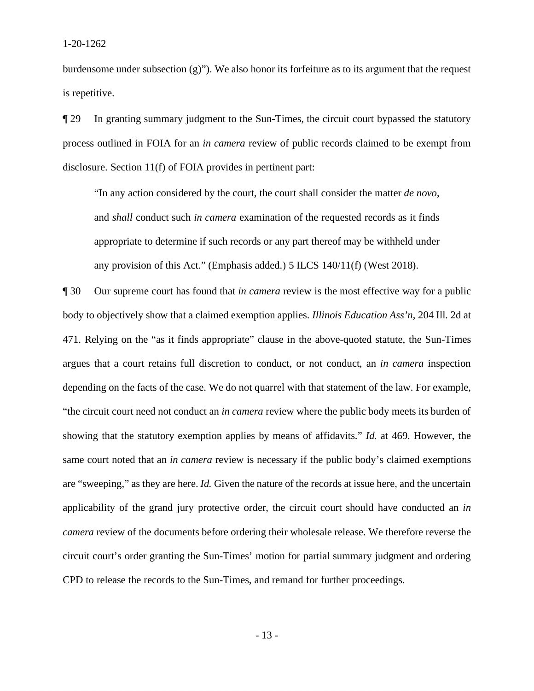burdensome under subsection  $(g)$ "). We also honor its forfeiture as to its argument that the request is repetitive.

¶ 29 In granting summary judgment to the Sun-Times, the circuit court bypassed the statutory process outlined in FOIA for an *in camera* review of public records claimed to be exempt from disclosure. Section 11(f) of FOIA provides in pertinent part:

"In any action considered by the court, the court shall consider the matter *de novo*, and *shall* conduct such *in camera* examination of the requested records as it finds appropriate to determine if such records or any part thereof may be withheld under any provision of this Act." (Emphasis added.) 5 ILCS 140/11(f) (West 2018).

¶ 30 Our supreme court has found that *in camera* review is the most effective way for a public body to objectively show that a claimed exemption applies. *Illinois Education Ass'n*, 204 Ill. 2d at 471. Relying on the "as it finds appropriate" clause in the above-quoted statute, the Sun-Times argues that a court retains full discretion to conduct, or not conduct, an *in camera* inspection depending on the facts of the case. We do not quarrel with that statement of the law. For example, "the circuit court need not conduct an *in camera* review where the public body meets its burden of showing that the statutory exemption applies by means of affidavits." *Id*. at 469. However, the same court noted that an *in camera* review is necessary if the public body's claimed exemptions are "sweeping," as they are here. *Id.* Given the nature of the records at issue here, and the uncertain applicability of the grand jury protective order, the circuit court should have conducted an *in camera* review of the documents before ordering their wholesale release. We therefore reverse the circuit court's order granting the Sun-Times' motion for partial summary judgment and ordering CPD to release the records to the Sun-Times, and remand for further proceedings.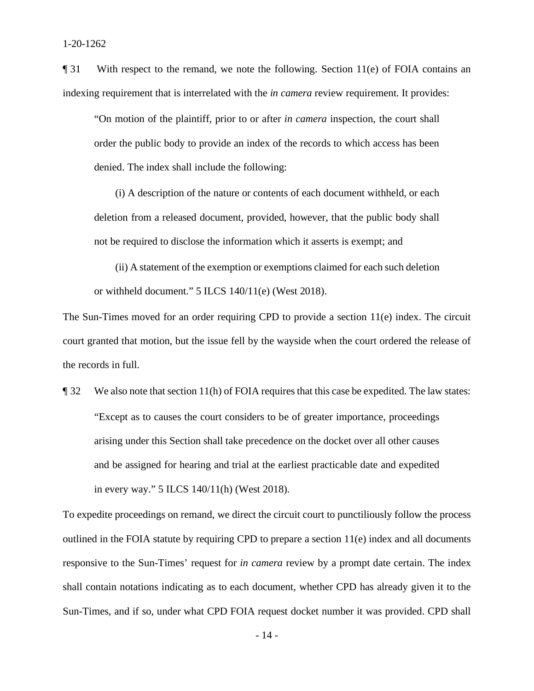$\P$  31 With respect to the remand, we note the following. Section 11(e) of FOIA contains an indexing requirement that is interrelated with the *in camera* review requirement. It provides:

"On motion of the plaintiff, prior to or after *in camera* inspection, the court shall order the public body to provide an index of the records to which access has been denied. The index shall include the following:

 (i) A description of the nature or contents of each document withheld, or each deletion from a released document, provided, however, that the public body shall not be required to disclose the information which it asserts is exempt; and

 (ii) A statement of the exemption or exemptions claimed for each such deletion or withheld document." 5 ILCS 140/11(e) (West 2018).

The Sun-Times moved for an order requiring CPD to provide a section 11(e) index. The circuit court granted that motion, but the issue fell by the wayside when the court ordered the release of the records in full.

¶ 32 We also note that section 11(h) of FOIA requires that this case be expedited. The law states: "Except as to causes the court considers to be of greater importance, proceedings arising under this Section shall take precedence on the docket over all other causes and be assigned for hearing and trial at the earliest practicable date and expedited in every way." 5 ILCS 140/11(h) (West 2018).

To expedite proceedings on remand, we direct the circuit court to punctiliously follow the process outlined in the FOIA statute by requiring CPD to prepare a section  $11(e)$  index and all documents responsive to the Sun-Times' request for *in camera* review by a prompt date certain. The index shall contain notations indicating as to each document, whether CPD has already given it to the Sun-Times, and if so, under what CPD FOIA request docket number it was provided. CPD shall

- 14 -